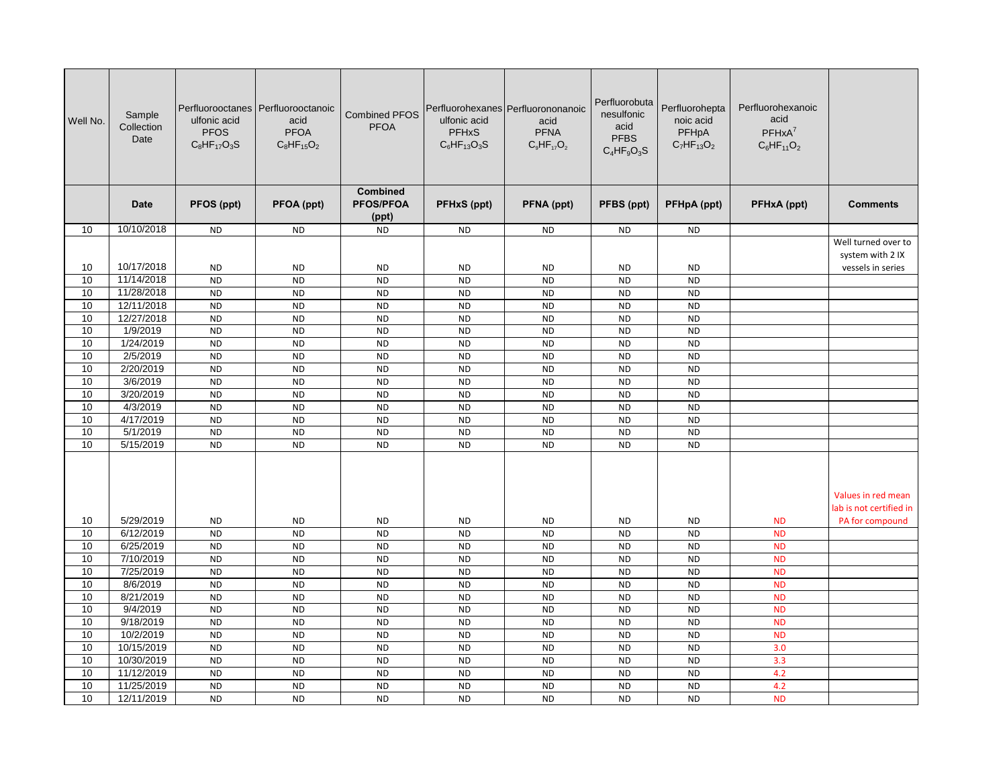| Well No. | Sample<br>Collection<br>Date | ulfonic acid<br><b>PFOS</b><br>$C_8$ HF <sub>17</sub> O <sub>3</sub> S | Perfluorooctanes   Perfluorooctanoic<br>acid<br><b>PFOA</b><br>$C_8HF_{15}O_2$ | <b>Combined PFOS</b><br><b>PFOA</b>   | ulfonic acid<br><b>PFHxS</b><br>$C_6$ HF <sub>13</sub> O <sub>3</sub> S | Perfluorohexanes Perfluorononanoic<br>acid<br><b>PFNA</b><br>$C_9HF_{17}O_2$ | Perfluorobuta<br>nesulfonic<br>acid<br><b>PFBS</b><br>$C_4HF_9O_3S$ | Perfluorohepta<br>noic acid<br>PFHpA<br>$C_7HF_{13}O_2$ | Perfluorohexanoic<br>acid<br>$PFHxA^7$<br>$C_6HF_{11}O_2$ |                                               |
|----------|------------------------------|------------------------------------------------------------------------|--------------------------------------------------------------------------------|---------------------------------------|-------------------------------------------------------------------------|------------------------------------------------------------------------------|---------------------------------------------------------------------|---------------------------------------------------------|-----------------------------------------------------------|-----------------------------------------------|
|          | Date                         | PFOS (ppt)                                                             | PFOA (ppt)                                                                     | Combined<br><b>PFOS/PFOA</b><br>(ppt) | PFHxS (ppt)                                                             | PFNA (ppt)                                                                   | PFBS (ppt)                                                          | PFHpA (ppt)                                             | PFHxA (ppt)                                               | <b>Comments</b>                               |
| 10       | 10/10/2018                   | <b>ND</b>                                                              | <b>ND</b>                                                                      | <b>ND</b>                             | <b>ND</b>                                                               | <b>ND</b>                                                                    | <b>ND</b>                                                           | <b>ND</b>                                               |                                                           |                                               |
|          |                              |                                                                        |                                                                                |                                       |                                                                         |                                                                              |                                                                     |                                                         |                                                           | Well turned over to<br>system with 2 IX       |
| 10       | 10/17/2018                   | <b>ND</b>                                                              | <b>ND</b>                                                                      | <b>ND</b>                             | <b>ND</b>                                                               | ND.                                                                          | <b>ND</b>                                                           | ND.                                                     |                                                           | vessels in series                             |
| 10       | 11/14/2018                   | <b>ND</b>                                                              | <b>ND</b>                                                                      | <b>ND</b>                             | <b>ND</b>                                                               | <b>ND</b>                                                                    | <b>ND</b>                                                           | <b>ND</b>                                               |                                                           |                                               |
| 10       | 11/28/2018                   | <b>ND</b>                                                              | <b>ND</b>                                                                      | <b>ND</b>                             | <b>ND</b>                                                               | <b>ND</b>                                                                    | <b>ND</b>                                                           | <b>ND</b>                                               |                                                           |                                               |
| 10       | 12/11/2018                   | <b>ND</b>                                                              | <b>ND</b>                                                                      | <b>ND</b>                             | <b>ND</b>                                                               | <b>ND</b>                                                                    | <b>ND</b>                                                           | <b>ND</b>                                               |                                                           |                                               |
| 10       | 12/27/2018                   | <b>ND</b>                                                              | <b>ND</b>                                                                      | <b>ND</b>                             | <b>ND</b>                                                               | <b>ND</b>                                                                    | <b>ND</b>                                                           | <b>ND</b>                                               |                                                           |                                               |
| 10       | 1/9/2019                     | <b>ND</b>                                                              | <b>ND</b>                                                                      | <b>ND</b>                             | <b>ND</b>                                                               | <b>ND</b>                                                                    | <b>ND</b>                                                           | <b>ND</b>                                               |                                                           |                                               |
| 10       | 1/24/2019                    | <b>ND</b>                                                              | <b>ND</b>                                                                      | <b>ND</b>                             | <b>ND</b>                                                               | <b>ND</b>                                                                    | <b>ND</b>                                                           | <b>ND</b>                                               |                                                           |                                               |
| 10       | 2/5/2019                     | <b>ND</b>                                                              | <b>ND</b>                                                                      | <b>ND</b>                             | <b>ND</b>                                                               | <b>ND</b>                                                                    | <b>ND</b>                                                           | <b>ND</b>                                               |                                                           |                                               |
| 10       | 2/20/2019                    | <b>ND</b>                                                              | <b>ND</b>                                                                      | <b>ND</b>                             | <b>ND</b>                                                               | <b>ND</b>                                                                    | <b>ND</b>                                                           | <b>ND</b>                                               |                                                           |                                               |
| 10       | 3/6/2019                     | <b>ND</b>                                                              | <b>ND</b>                                                                      | <b>ND</b>                             | <b>ND</b>                                                               | <b>ND</b>                                                                    | <b>ND</b>                                                           | <b>ND</b>                                               |                                                           |                                               |
| 10       | 3/20/2019                    | <b>ND</b>                                                              | <b>ND</b>                                                                      | <b>ND</b>                             | <b>ND</b>                                                               | <b>ND</b>                                                                    | <b>ND</b>                                                           | <b>ND</b>                                               |                                                           |                                               |
| 10       | 4/3/2019                     | <b>ND</b>                                                              | <b>ND</b>                                                                      | <b>ND</b>                             | <b>ND</b>                                                               | <b>ND</b>                                                                    | <b>ND</b>                                                           | <b>ND</b>                                               |                                                           |                                               |
| 10       | 4/17/2019                    | <b>ND</b>                                                              | <b>ND</b>                                                                      | <b>ND</b>                             | <b>ND</b>                                                               | <b>ND</b>                                                                    | <b>ND</b>                                                           | <b>ND</b>                                               |                                                           |                                               |
| 10       | 5/1/2019                     | <b>ND</b>                                                              | <b>ND</b>                                                                      | <b>ND</b>                             | <b>ND</b>                                                               | <b>ND</b>                                                                    | <b>ND</b>                                                           | <b>ND</b>                                               |                                                           |                                               |
| 10       | 5/15/2019                    | <b>ND</b>                                                              | <b>ND</b>                                                                      | <b>ND</b>                             | <b>ND</b>                                                               | <b>ND</b>                                                                    | <b>ND</b>                                                           | <b>ND</b>                                               |                                                           |                                               |
|          |                              |                                                                        |                                                                                |                                       |                                                                         |                                                                              |                                                                     |                                                         |                                                           | Values in red mean<br>lab is not certified in |
| 10       | 5/29/2019                    | <b>ND</b>                                                              | <b>ND</b>                                                                      | <b>ND</b>                             | <b>ND</b>                                                               | <b>ND</b>                                                                    | <b>ND</b>                                                           | <b>ND</b>                                               | <b>ND</b>                                                 | PA for compound                               |
| 10       | 6/12/2019                    | <b>ND</b>                                                              | <b>ND</b>                                                                      | <b>ND</b>                             | <b>ND</b>                                                               | <b>ND</b>                                                                    | <b>ND</b>                                                           | <b>ND</b>                                               | <b>ND</b>                                                 |                                               |
| 10       | 6/25/2019                    | <b>ND</b>                                                              | <b>ND</b>                                                                      | <b>ND</b>                             | <b>ND</b>                                                               | <b>ND</b>                                                                    | <b>ND</b>                                                           | <b>ND</b>                                               | <b>ND</b>                                                 |                                               |
| 10       | 7/10/2019                    | <b>ND</b>                                                              | <b>ND</b>                                                                      | <b>ND</b>                             | <b>ND</b>                                                               | <b>ND</b>                                                                    | <b>ND</b>                                                           | <b>ND</b>                                               | <b>ND</b>                                                 |                                               |
| 10       | 7/25/2019                    | <b>ND</b>                                                              | <b>ND</b>                                                                      | <b>ND</b>                             | <b>ND</b>                                                               | <b>ND</b>                                                                    | <b>ND</b>                                                           | <b>ND</b>                                               | <b>ND</b>                                                 |                                               |
| 10       | 8/6/2019                     | <b>ND</b>                                                              | <b>ND</b>                                                                      | <b>ND</b>                             | <b>ND</b>                                                               | <b>ND</b>                                                                    | <b>ND</b>                                                           | <b>ND</b>                                               | <b>ND</b>                                                 |                                               |
| 10       | 8/21/2019                    | <b>ND</b>                                                              | <b>ND</b>                                                                      | <b>ND</b>                             | <b>ND</b>                                                               | <b>ND</b>                                                                    | <b>ND</b>                                                           | <b>ND</b>                                               | <b>ND</b>                                                 |                                               |
| 10       | 9/4/2019                     | <b>ND</b>                                                              | <b>ND</b>                                                                      | <b>ND</b>                             | <b>ND</b>                                                               | <b>ND</b>                                                                    | <b>ND</b>                                                           | <b>ND</b>                                               | <b>ND</b>                                                 |                                               |
| 10       | 9/18/2019                    | <b>ND</b>                                                              | <b>ND</b>                                                                      | <b>ND</b>                             | <b>ND</b>                                                               | <b>ND</b>                                                                    | <b>ND</b>                                                           | <b>ND</b>                                               | <b>ND</b>                                                 |                                               |
| 10       | 10/2/2019                    | <b>ND</b>                                                              | <b>ND</b>                                                                      | <b>ND</b>                             | <b>ND</b>                                                               | <b>ND</b>                                                                    | <b>ND</b>                                                           | <b>ND</b>                                               | <b>ND</b>                                                 |                                               |
| 10       | 10/15/2019                   | <b>ND</b>                                                              | <b>ND</b>                                                                      | <b>ND</b>                             | <b>ND</b>                                                               | <b>ND</b>                                                                    | <b>ND</b>                                                           | <b>ND</b>                                               | 3.0                                                       |                                               |
| 10       | 10/30/2019                   | <b>ND</b>                                                              | <b>ND</b>                                                                      | <b>ND</b>                             | <b>ND</b>                                                               | <b>ND</b>                                                                    | <b>ND</b>                                                           | <b>ND</b>                                               | 3.3                                                       |                                               |
| 10       | 11/12/2019                   | <b>ND</b>                                                              | <b>ND</b>                                                                      | <b>ND</b>                             | <b>ND</b>                                                               | <b>ND</b>                                                                    | <b>ND</b>                                                           | <b>ND</b>                                               | 4.2                                                       |                                               |
| 10       | 11/25/2019                   | <b>ND</b>                                                              | <b>ND</b>                                                                      | <b>ND</b>                             | <b>ND</b>                                                               | <b>ND</b>                                                                    | <b>ND</b>                                                           | <b>ND</b>                                               | 4.2                                                       |                                               |
| 10       | 12/11/2019                   | <b>ND</b>                                                              | <b>ND</b>                                                                      | <b>ND</b>                             | <b>ND</b>                                                               | <b>ND</b>                                                                    | <b>ND</b>                                                           | <b>ND</b>                                               | <b>ND</b>                                                 |                                               |